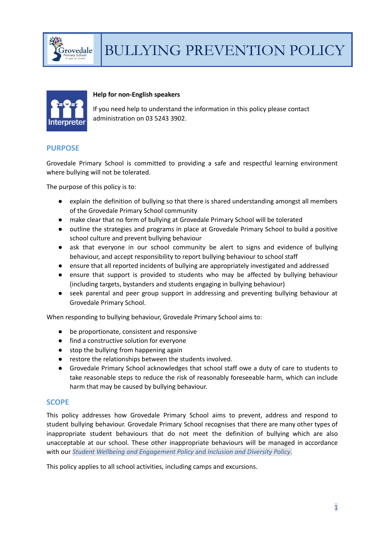



#### **Help for non-English speakers**

If you need help to understand the information in this policy please contact administration on 03 5243 3902.

# **PURPOSE**

Grovedale Primary School is committed to providing a safe and respectful learning environment where bullying will not be tolerated.

The purpose of this policy is to:

- explain the definition of bullying so that there is shared understanding amongst all members of the Grovedale Primary School community
- make clear that no form of bullying at Grovedale Primary School will be tolerated
- outline the strategies and programs in place at Grovedale Primary School to build a positive school culture and prevent bullying behaviour
- ask that everyone in our school community be alert to signs and evidence of bullying behaviour, and accept responsibility to report bullying behaviour to school staff
- ensure that all reported incidents of bullying are appropriately investigated and addressed
- ensure that support is provided to students who may be affected by bullying behaviour (including targets, bystanders and students engaging in bullying behaviour)
- seek parental and peer group support in addressing and preventing bullying behaviour at Grovedale Primary School.

When responding to bullying behaviour, Grovedale Primary School aims to:

- be proportionate, consistent and responsive
- find a constructive solution for everyone
- stop the bullying from happening again
- restore the relationships between the students involved.
- Grovedale Primary School acknowledges that school staff owe a duty of care to students to take reasonable steps to reduce the risk of reasonably foreseeable harm, which can include harm that may be caused by bullying behaviour.

#### **SCOPE**

This policy addresses how Grovedale Primary School aims to prevent, address and respond to student bullying behaviour. Grovedale Primary School recognises that there are many other types of inappropriate student behaviours that do not meet the definition of bullying which are also unacceptable at our school. These other inappropriate behaviours will be managed in accordance with our *Student Wellbeing and Engagement Policy* and *Inclusion and Diversity Policy*.

This policy applies to all school activities, including camps and excursions.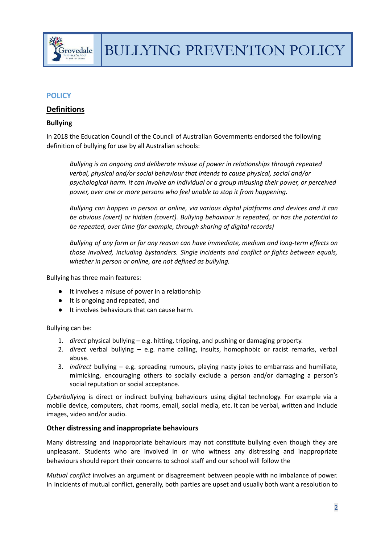

# **POLICY**

# **Definitions**

# **Bullying**

In 2018 the Education Council of the Council of Australian Governments endorsed the following definition of bullying for use by all Australian schools:

*Bullying is an ongoing and deliberate misuse of power in relationships through repeated verbal, physical and/or social behaviour that intends to cause physical, social and/or psychological harm. It can involve an individual or a group misusing their power, or perceived power, over one or more persons who feel unable to stop it from happening.*

*Bullying can happen in person or online, via various digital platforms and devices and it can be obvious (overt) or hidden (covert). Bullying behaviour is repeated, or has the potential to be repeated, over time (for example, through sharing of digital records)*

*Bullying of any form or for any reason can have immediate, medium and long-term effects on those involved, including bystanders. Single incidents and conflict or fights between equals, whether in person or online, are not defined as bullying.*

Bullying has three main features:

- It involves a misuse of power in a relationship
- It is ongoing and repeated, and
- It involves behaviours that can cause harm.

#### Bullying can be:

- 1. *direct* physical bullying e.g. hitting, tripping, and pushing or damaging property.
- 2. *direct* verbal bullying e.g. name calling, insults, homophobic or racist remarks, verbal abuse.
- 3. *indirect* bullying e.g. spreading rumours, playing nasty jokes to embarrass and humiliate, mimicking, encouraging others to socially exclude a person and/or damaging a person's social reputation or social acceptance.

*Cyberbullying* is direct or indirect bullying behaviours using digital technology. For example via a mobile device, computers, chat rooms, email, social media, etc. It can be verbal, written and include images, video and/or audio.

# **Other distressing and inappropriate behaviours**

Many distressing and inappropriate behaviours may not constitute bullying even though they are unpleasant. Students who are involved in or who witness any distressing and inappropriate behaviours should report their concerns to school staff and our school will follow the

*Mutual conflict* involves an argument or disagreement between people with no imbalance of power. In incidents of mutual conflict, generally, both parties are upset and usually both want a resolution to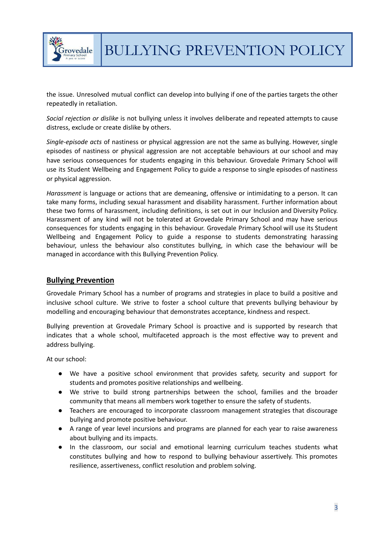

the issue. Unresolved mutual conflict can develop into bullying if one of the parties targets the other repeatedly in retaliation.

*Social rejection or dislike* is not bullying unless it involves deliberate and repeated attempts to cause distress, exclude or create dislike by others.

*Single-episode acts* of nastiness or physical aggression are not the same as bullying. However, single episodes of nastiness or physical aggression are not acceptable behaviours at our school and may have serious consequences for students engaging in this behaviour. Grovedale Primary School will use its Student Wellbeing and Engagement Policy to guide a response to single episodes of nastiness or physical aggression.

*Harassment* is language or actions that are demeaning, offensive or intimidating to a person. It can take many forms, including sexual harassment and disability harassment. Further information about these two forms of harassment, including definitions, is set out in our Inclusion and Diversity Policy. Harassment of any kind will not be tolerated at Grovedale Primary School and may have serious consequences for students engaging in this behaviour. Grovedale Primary School will use its Student Wellbeing and Engagement Policy to guide a response to students demonstrating harassing behaviour, unless the behaviour also constitutes bullying, in which case the behaviour will be managed in accordance with this Bullying Prevention Policy.

# **Bullying Prevention**

Grovedale Primary School has a number of programs and strategies in place to build a positive and inclusive school culture. We strive to foster a school culture that prevents bullying behaviour by modelling and encouraging behaviour that demonstrates acceptance, kindness and respect.

Bullying prevention at Grovedale Primary School is proactive and is supported by research that indicates that a whole school, multifaceted approach is the most effective way to prevent and address bullying.

At our school:

- We have a positive school environment that provides safety, security and support for students and promotes positive relationships and wellbeing.
- We strive to build strong partnerships between the school, families and the broader community that means all members work together to ensure the safety of students.
- Teachers are encouraged to incorporate classroom management strategies that discourage bullying and promote positive behaviour.
- A range of year level incursions and programs are planned for each year to raise awareness about bullying and its impacts.
- In the classroom, our social and emotional learning curriculum teaches students what constitutes bullying and how to respond to bullying behaviour assertively. This promotes resilience, assertiveness, conflict resolution and problem solving.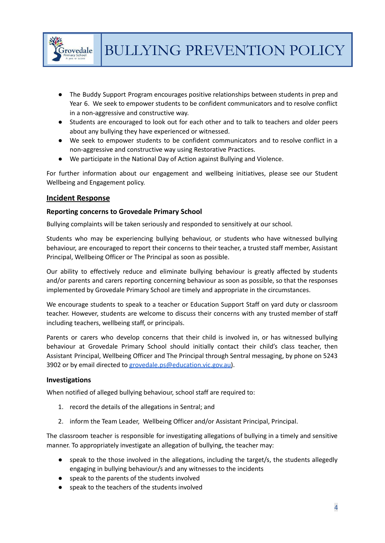

- The Buddy Support Program encourages positive relationships between students in prep and Year 6. We seek to empower students to be confident communicators and to resolve conflict in a non-aggressive and constructive way.
- Students are encouraged to look out for each other and to talk to teachers and older peers about any bullying they have experienced or witnessed.
- We seek to empower students to be confident communicators and to resolve conflict in a non-aggressive and constructive way using Restorative Practices.
- We participate in the National Day of Action against Bullying and Violence.

For further information about our engagement and wellbeing initiatives, please see our Student Wellbeing and Engagement policy.

# **Incident Response**

# **Reporting concerns to Grovedale Primary School**

Bullying complaints will be taken seriously and responded to sensitively at our school.

Students who may be experiencing bullying behaviour, or students who have witnessed bullying behaviour, are encouraged to report their concerns to their teacher, a trusted staff member, Assistant Principal, Wellbeing Officer or The Principal as soon as possible.

Our ability to effectively reduce and eliminate bullying behaviour is greatly affected by students and/or parents and carers reporting concerning behaviour as soon as possible, so that the responses implemented by Grovedale Primary School are timely and appropriate in the circumstances.

We encourage students to speak to a teacher or Education Support Staff on yard duty or classroom teacher. However, students are welcome to discuss their concerns with any trusted member of staff including teachers, wellbeing staff, or principals.

Parents or carers who develop concerns that their child is involved in, or has witnessed bullying behaviour at Grovedale Primary School should initially contact their child's class teacher, then Assistant Principal, Wellbeing Officer and The Principal through Sentral messaging, by phone on 5243 3902 or by email directed to [grovedale.ps@education.vic.gov.au\)](mailto:grovedale.ps@education.vic.gov.au).

# **Investigations**

When notified of alleged bullying behaviour, school staff are required to:

- 1. record the details of the allegations in Sentral; and
- 2. inform the Team Leader, Wellbeing Officer and/or Assistant Principal, Principal.

The classroom teacher is responsible for investigating allegations of bullying in a timely and sensitive manner. To appropriately investigate an allegation of bullying, the teacher may:

- speak to the those involved in the allegations, including the target/s, the students allegedly engaging in bullying behaviour/s and any witnesses to the incidents
- speak to the parents of the students involved
- speak to the teachers of the students involved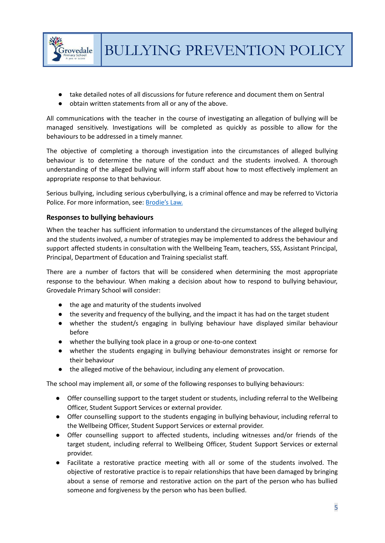

- take detailed notes of all discussions for future reference and document them on Sentral
- obtain written statements from all or any of the above.

All communications with the teacher in the course of investigating an allegation of bullying will be managed sensitively. Investigations will be completed as quickly as possible to allow for the behaviours to be addressed in a timely manner.

The objective of completing a thorough investigation into the circumstances of alleged bullying behaviour is to determine the nature of the conduct and the students involved. A thorough understanding of the alleged bullying will inform staff about how to most effectively implement an appropriate response to that behaviour.

Serious bullying, including serious cyberbullying, is a criminal offence and may be referred to Victoria Police. For more information, see: [Brodie's](http://www.education.vic.gov.au/about/programs/bullystoppers/Pages/advicesheetbrodieslaw.aspx) Law.

# **Responses to bullying behaviours**

When the teacher has sufficient information to understand the circumstances of the alleged bullying and the students involved, a number of strategies may be implemented to address the behaviour and support affected students in consultation with the Wellbeing Team, teachers, SSS, Assistant Principal, Principal, Department of Education and Training specialist staff.

There are a number of factors that will be considered when determining the most appropriate response to the behaviour. When making a decision about how to respond to bullying behaviour, Grovedale Primary School will consider:

- the age and maturity of the students involved
- the severity and frequency of the bullying, and the impact it has had on the target student
- whether the student/s engaging in bullying behaviour have displayed similar behaviour before
- whether the bullying took place in a group or one-to-one context
- whether the students engaging in bullying behaviour demonstrates insight or remorse for their behaviour
- the alleged motive of the behaviour, including any element of provocation.

The school may implement all, or some of the following responses to bullying behaviours:

- Offer counselling support to the target student or students, including referral to the Wellbeing Officer, Student Support Services or external provider.
- Offer counselling support to the students engaging in bullying behaviour, including referral to the Wellbeing Officer, Student Support Services or external provider.
- Offer counselling support to affected students, including witnesses and/or friends of the target student, including referral to Wellbeing Officer, Student Support Services or external provider.
- Facilitate a restorative practice meeting with all or some of the students involved. The objective of restorative practice is to repair relationships that have been damaged by bringing about a sense of remorse and restorative action on the part of the person who has bullied someone and forgiveness by the person who has been bullied.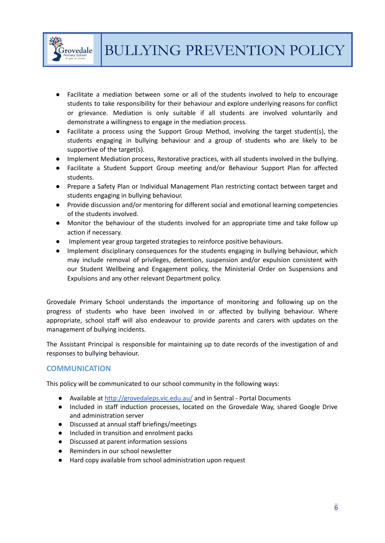

- Facilitate a mediation between some or all of the students involved to help to encourage students to take responsibility for their behaviour and explore underlying reasons for conflict or grievance. Mediation is only suitable if all students are involved voluntarily and demonstrate a willingness to engage in the mediation process.
- Facilitate a process using the Support Group Method, involving the target student(s), the students engaging in bullying behaviour and a group of students who are likely to be supportive of the target(s).
- Implement Mediation process, Restorative practices, with all students involved in the bullying.
- Facilitate a Student Support Group meeting and/or Behaviour Support Plan for affected students.
- Prepare a Safety Plan or Individual Management Plan restricting contact between target and students engaging in bullying behaviour.
- Provide discussion and/or mentoring for different social and emotional learning competencies of the students involved.
- Monitor the behaviour of the students involved for an appropriate time and take follow up action if necessary.
- Implement year group targeted strategies to reinforce positive behaviours.
- Implement disciplinary consequences for the students engaging in bullying behaviour, which may include removal of privileges, detention, suspension and/or expulsion consistent with our Student Wellbeing and Engagement policy, the Ministerial Order on Suspensions and Expulsions and any other relevant Department policy.

Grovedale Primary School understands the importance of monitoring and following up on the progress of students who have been involved in or affected by bullying behaviour. Where appropriate, school staff will also endeavour to provide parents and carers with updates on the management of bullying incidents.

The Assistant Principal is responsible for maintaining up to date records of the investigation of and responses to bullying behaviour.

# **COMMUNICATION**

This policy will be communicated to our school community in the following ways:

- Available at <http://grovedaleps.vic.edu.au/> and in Sentral Portal Documents
- Included in staff induction processes, located on the Grovedale Way, shared Google Drive and administration server
- Discussed at annual staff briefings/meetings
- Included in transition and enrolment packs
- Discussed at parent information sessions
- Reminders in our school newsletter
- Hard copy available from school administration upon request